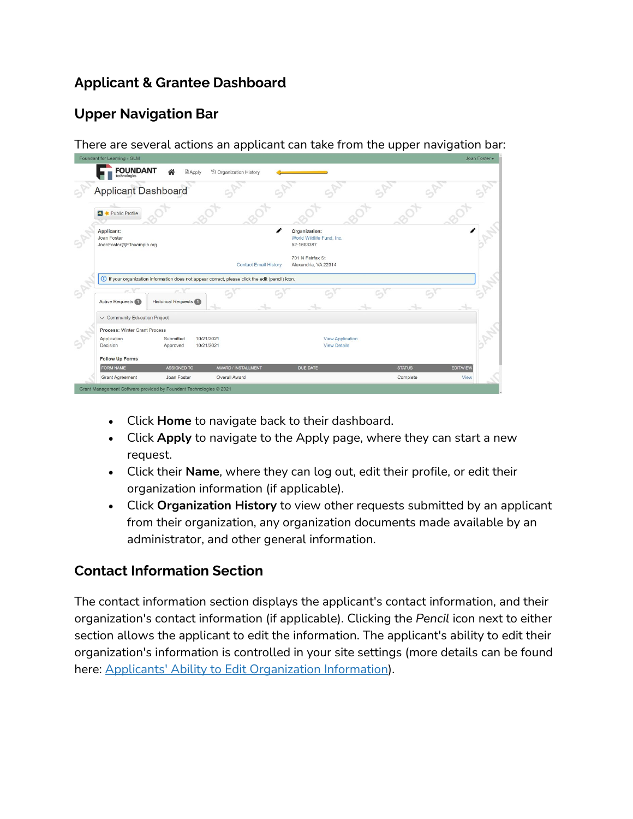## **Applicant & Grantee Dashboard**

## **Upper Navigation Bar**

There are several actions an applicant can take from the upper navigation bar:

| Foundant for Learning - GLM                              |                                  |                                                                                                    |                                                          |               | Joan Foster      |  |
|----------------------------------------------------------|----------------------------------|----------------------------------------------------------------------------------------------------|----------------------------------------------------------|---------------|------------------|--|
| <b>FOUNDANT</b>                                          | Apply                            | <sup>5</sup> Organization History                                                                  |                                                          |               |                  |  |
| <b>Applicant Dashboard</b>                               |                                  |                                                                                                    |                                                          |               |                  |  |
| Public Profile                                           |                                  |                                                                                                    |                                                          |               |                  |  |
| Applicant:<br>Joan Foster<br>JoanFoster@FTexample.org    |                                  |                                                                                                    | Organization:<br>World Wildlife Fund, Inc.<br>52-1693387 |               |                  |  |
|                                                          |                                  |                                                                                                    |                                                          |               |                  |  |
|                                                          |                                  | <b>Contact Email History</b>                                                                       | 701 N Fairfax St<br>Alexandria, VA 22314                 |               |                  |  |
|                                                          |                                  | (i) If your organization information does not appear correct, please click the edit (pencil) icon. |                                                          |               |                  |  |
| m.<br>Active Requests (1)                                | a.<br><b>Historical Requests</b> |                                                                                                    |                                                          |               |                  |  |
| $\vee$ Community Education Project                       |                                  |                                                                                                    |                                                          |               |                  |  |
| Process: Winter Grant Process<br>Application<br>Decision | Submitted<br>Approved            | 10/21/2021<br>10/21/2021                                                                           | <b>View Application</b><br><b>View Details</b>           |               |                  |  |
| <b>Follow Up Forms</b><br>FORM NAME                      | <b>ASSIGNED TO</b>               | AWARD / INSTALLMENT                                                                                | <b>DUE DATE</b>                                          | <b>STATUS</b> | <b>EDIT/VIEW</b> |  |

- Click **Home** to navigate back to their dashboard.
- Click **Apply** to navigate to the Apply page, where they can start a new request.
- Click their **Name**, where they can log out, edit their profile, or edit their organization information (if applicable).
- Click **Organization History** to view other requests submitted by an applicant from their organization, any organization documents made available by an administrator, and other general information.

## **Contact Information Section**

The contact information section displays the applicant's contact information, and their organization's contact information (if applicable). Clicking the *Pencil* icon next to either section allows the applicant to edit the information. The applicant's ability to edit their organization's information is controlled in your site settings (more details can be found here: [Applicants' Ability to Edit Organization Information\)](https://support.foundant.com/hc/en-us/articles/4404292222231).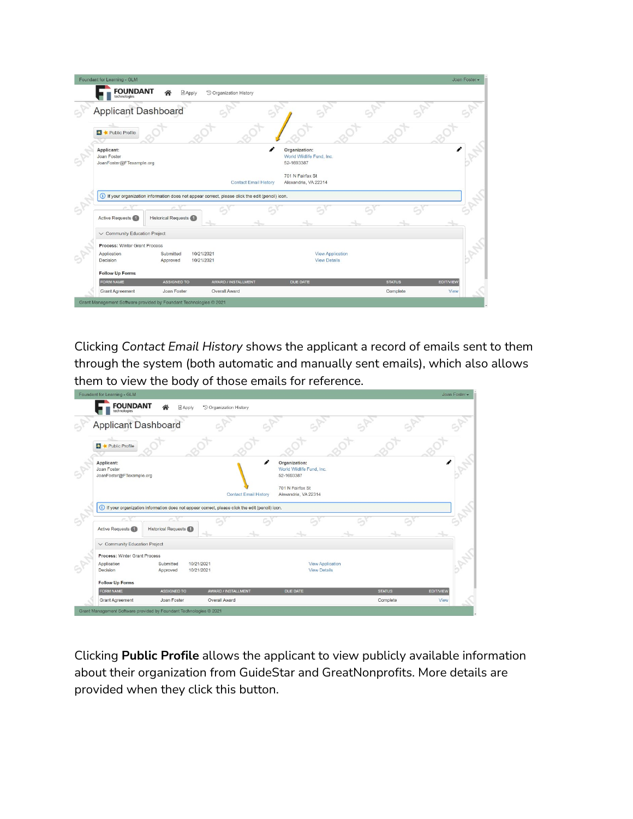| Foundant for Learning - GLM                                                                        |                            |                                   |                              |                                                          |               |                  | Joan Foster - |
|----------------------------------------------------------------------------------------------------|----------------------------|-----------------------------------|------------------------------|----------------------------------------------------------|---------------|------------------|---------------|
| <b>FOUNDANT</b><br>technologies                                                                    | Apply                      | <sup>5</sup> Organization History |                              |                                                          |               |                  |               |
| <b>Applicant Dashboard</b>                                                                         |                            |                                   |                              |                                                          |               |                  |               |
| <b>E3</b> Public Profile                                                                           |                            |                                   |                              |                                                          |               |                  |               |
| Applicant:<br>Joan Foster<br>JoanFoster@FTexample.org                                              |                            |                                   | Í                            | Organization:<br>World Wildlife Fund, Inc.<br>52-1693387 |               |                  |               |
|                                                                                                    |                            |                                   |                              | 701 N Fairfax St                                         |               |                  |               |
|                                                                                                    |                            |                                   | <b>Contact Email History</b> | Alexandria, VA 22314                                     |               |                  |               |
| (i) If your organization information does not appear correct, please click the edit (pencil) icon. |                            |                                   |                              |                                                          |               |                  |               |
| Active Requests                                                                                    | <b>Historical Requests</b> |                                   |                              |                                                          |               |                  |               |
| $\vee$ Community Education Project                                                                 |                            |                                   |                              |                                                          |               |                  |               |
| Process: Winter Grant Process<br>Application<br>Decision                                           | Submitted<br>Approved      | 10/21/2021<br>10/21/2021          |                              | <b>View Application</b><br><b>View Details</b>           |               |                  |               |
| <b>Follow Up Forms</b><br>FORM NAME                                                                | <b>ASSIGNED TO</b>         |                                   | AWARD / INSTALLMENT          | <b>DUE DATE</b>                                          | <b>STATUS</b> | <b>EDIT/VIEW</b> |               |

Clicking *Contact Email History* shows the applicant a record of emails sent to them through the system (both automatic and manually sent emails), which also allows them to view the body of those emails for reference.

| <b>FOUNDANT</b><br>technologies                          |                                                                                                    | <sup>5</sup> Organization History<br>$A$ pply |                              |                                                          |               |                  |  |
|----------------------------------------------------------|----------------------------------------------------------------------------------------------------|-----------------------------------------------|------------------------------|----------------------------------------------------------|---------------|------------------|--|
| <b>Applicant Dashboard</b>                               |                                                                                                    |                                               |                              |                                                          |               |                  |  |
| ⋇<br>Public Profile                                      |                                                                                                    |                                               |                              |                                                          |               |                  |  |
| Applicant:<br>Joan Foster<br>JoanFoster@FTexample.org    |                                                                                                    |                                               |                              | Organization:<br>World Wildlife Fund, Inc.<br>52-1693387 |               |                  |  |
|                                                          |                                                                                                    |                                               | <b>Contact Email History</b> | 701 N Fairfax St<br>Alexandria, VA 22314                 |               |                  |  |
|                                                          |                                                                                                    |                                               |                              |                                                          |               |                  |  |
|                                                          | (i) If your organization information does not appear correct, please click the edit (pencil) icon. |                                               |                              |                                                          |               |                  |  |
| <b>Active Requests</b>                                   | <b>Historical Requests</b>                                                                         |                                               |                              |                                                          |               |                  |  |
| V Community Education Project                            |                                                                                                    |                                               |                              |                                                          |               |                  |  |
| Process: Winter Grant Process<br>Application<br>Decision | Submitted<br>Approved                                                                              | 10/21/2021<br>10/21/2021                      |                              | <b>View Application</b><br><b>View Details</b>           |               |                  |  |
| <b>Follow Up Forms</b>                                   |                                                                                                    |                                               |                              |                                                          |               |                  |  |
| <b>FORM NAME</b>                                         | <b>ASSIGNED TO</b>                                                                                 |                                               | AWARD / INSTALLMENT          | DUE DATE                                                 | <b>STATUS</b> | <b>EDIT/VIEW</b> |  |

Clicking **Public Profile** allows the applicant to view publicly available information about their organization from GuideStar and GreatNonprofits. More details are provided when they click this button.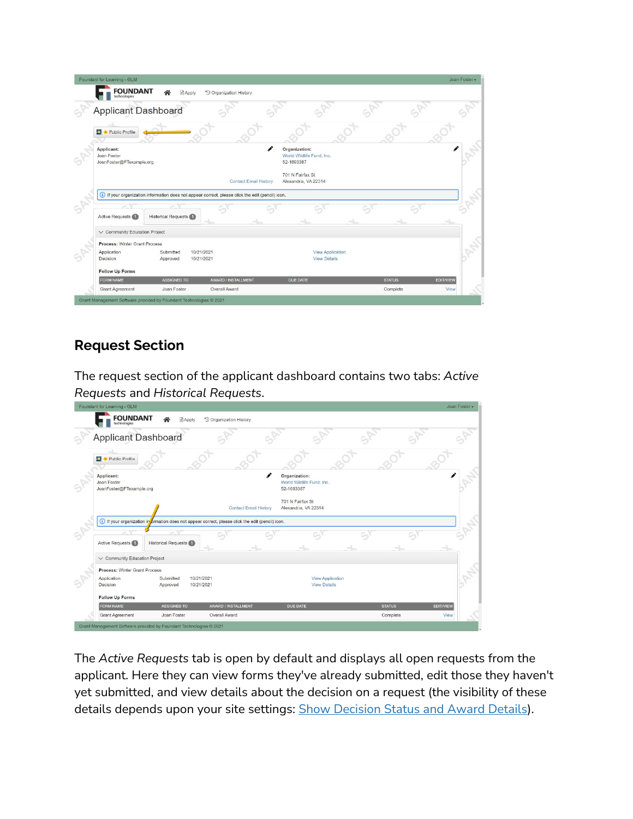| Foundant for Learning - GLM                                                                                   |                                                               |               | Joan Foster -    |
|---------------------------------------------------------------------------------------------------------------|---------------------------------------------------------------|---------------|------------------|
| <b>FOUNDANT</b><br><b>B</b> Apply<br><sup>5</sup> Organization History                                        |                                                               |               |                  |
| <b>Applicant Dashboard</b>                                                                                    |                                                               |               |                  |
| Public Profile                                                                                                |                                                               |               |                  |
| Applicant:<br>Joan Foster<br>JoanFoster@FTexample.org                                                         | i<br>Organization:<br>World Wildlife Fund, Inc.<br>52-1693387 |               |                  |
| <b>Contact Email History</b>                                                                                  | 701 N Fairfax St<br>Alexandria, VA 22314                      |               |                  |
| (i) If your organization information does not appear correct, please click the edit (pencil) icon.            |                                                               |               |                  |
| n<br><b>Historical Requests</b><br>Active Requests                                                            |                                                               |               |                  |
| $\vee$ Community Education Project                                                                            |                                                               |               |                  |
| Process: Winter Grant Process<br>10/21/2021<br>Application<br>Submitted<br>Decision<br>10/21/2021<br>Approved | <b>View Application</b><br><b>View Details</b>                |               |                  |
|                                                                                                               |                                                               |               |                  |
| <b>Follow Up Forms</b>                                                                                        |                                                               |               |                  |
| <b>FORM NAME</b><br><b>ASSIGNED TO</b><br>AWARD / INSTALLMENT                                                 | DUE DATE                                                      | <b>STATUS</b> | <b>EDIT/VIEW</b> |

## **Request Section**

The request section of the applicant dashboard contains two tabs: *Active Requests* and *Historical Requests*.

|                                                                 |                                   |                                                                                                            |                                                               |                           | Joan Foster -            |
|-----------------------------------------------------------------|-----------------------------------|------------------------------------------------------------------------------------------------------------|---------------------------------------------------------------|---------------------------|--------------------------|
| <b>FOUNDANT</b>                                                 | $A$ pply                          | <sup>9</sup> Organization History                                                                          |                                                               |                           |                          |
| <b>Applicant Dashboard</b>                                      |                                   |                                                                                                            |                                                               |                           |                          |
| Public Profile<br>Ж                                             |                                   |                                                                                                            |                                                               |                           |                          |
| Applicant:<br>Joan Foster<br>JoanFoster@FTexample.org           |                                   |                                                                                                            | i<br>Organization:<br>World Wildlife Fund, Inc.<br>52-1693387 |                           |                          |
|                                                                 |                                   | <b>Contact Email History</b>                                                                               | 701 N Fairfax St<br>Alexandria, VA 22314                      |                           |                          |
|                                                                 |                                   | 1) If your organization in <i>f</i> ormation does not appear correct, please click the edit (pencil) icon. |                                                               |                           |                          |
|                                                                 |                                   |                                                                                                            |                                                               |                           |                          |
| ×<br>Active Requests                                            | ja.<br><b>Historical Requests</b> |                                                                                                            |                                                               |                           |                          |
| V Community Education Project                                   |                                   |                                                                                                            |                                                               |                           |                          |
| <b>Process: Winter Grant Process</b><br>Application<br>Decision | Submitted<br>Approved             | 10/21/2021<br>10/21/2021                                                                                   | <b>View Application</b><br><b>View Details</b>                |                           |                          |
| <b>Follow Up Forms</b>                                          |                                   |                                                                                                            |                                                               |                           |                          |
| <b>FORM NAME</b><br><b>Grant Agreement</b>                      | <b>ASSIGNED TO</b><br>Joan Foster | AWARD / INSTALLMENT<br>Overall Award                                                                       | <b>DUE DATE</b>                                               | <b>STATUS</b><br>Complete | <b>EDIT/VIEW</b><br>View |

The *Active Requests* tab is open by default and displays all open requests from the applicant. Here they can view forms they've already submitted, edit those they haven't yet submitted, and view details about the decision on a request (the visibility of these details depends upon your site settings: [Show Decision Status and Award Details\)](https://support.foundant.com/hc/en-us/articles/4404283353111).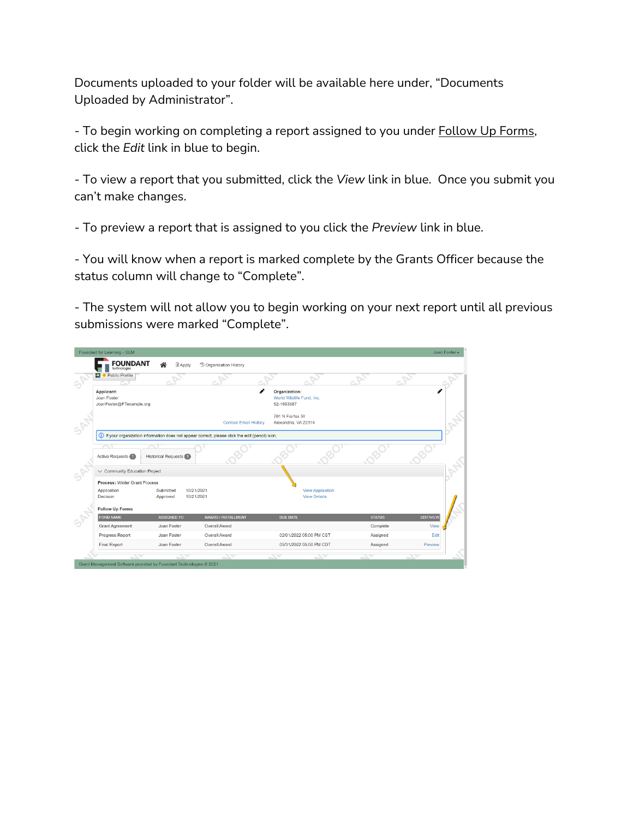Documents uploaded to your folder will be available here under, "Documents Uploaded by Administrator".

- To begin working on completing a report assigned to you under **Follow Up Forms**, click the *Edit* link in blue to begin.

- To view a report that you submitted, click the *View* link in blue. Once you submit you can't make changes.

- To preview a report that is assigned to you click the *Preview* link in blue.

- You will know when a report is marked complete by the Grants Officer because the status column will change to "Complete".

- The system will not allow you to begin working on your next report until all previous submissions were marked "Complete".

| Foundant for Learning - GLM                                  |                                                                    |                                                                                                    |                                                                 |               | Joan Foster -    |
|--------------------------------------------------------------|--------------------------------------------------------------------|----------------------------------------------------------------------------------------------------|-----------------------------------------------------------------|---------------|------------------|
| <b>FOUNDANT</b><br>technologies                              | Apply                                                              | <sup>6</sup> Organization History                                                                  |                                                                 |               |                  |
| Public Profile                                               |                                                                    |                                                                                                    |                                                                 |               |                  |
| <b>Applicant:</b><br>Joan Foster<br>JoanFoster@FTexample.org |                                                                    |                                                                                                    | <b>Organization:</b><br>World Wildlife Fund, Inc.<br>52-1693387 |               |                  |
|                                                              |                                                                    | <b>Contact Email History</b>                                                                       | 701 N Fairfax St<br>Alexandria, VA 22314                        |               |                  |
|                                                              |                                                                    | (i) If your organization information does not appear correct, please click the edit (pencil) icon. |                                                                 |               |                  |
| <b>Active Requests</b>                                       | <b>Historical Requests</b>                                         |                                                                                                    |                                                                 |               |                  |
| $\vee$ Community Education Project                           |                                                                    |                                                                                                    |                                                                 |               |                  |
| <b>Process: Winter Grant Process</b>                         |                                                                    |                                                                                                    |                                                                 |               |                  |
| Application<br>Decision                                      | 10/21/2021<br>Submitted<br>10/21/2021<br>Approved                  |                                                                                                    | <b>View Application</b><br><b>View Details</b>                  |               |                  |
| <b>Follow Up Forms</b>                                       |                                                                    |                                                                                                    |                                                                 |               |                  |
| <b>FORM NAME</b>                                             | <b>ASSIGNED TO</b>                                                 | AWARD / INSTALLMENT                                                                                | <b>DUE DATE</b>                                                 | <b>STATUS</b> | <b>EDIT/VIEW</b> |
| <b>Grant Agreement</b>                                       | Joan Foster                                                        | <b>Overall Award</b>                                                                               |                                                                 | Complete      | View             |
| <b>Progress Report</b>                                       | Joan Foster                                                        | <b>Overall Award</b>                                                                               | 02/01/2022 05:00 PM CST                                         | Assigned      | Edit             |
| <b>Final Report</b>                                          | Joan Foster                                                        | <b>Overall Award</b>                                                                               | 05/31/2022 05:00 PM CDT                                         | Assigned      | Preview          |
|                                                              |                                                                    |                                                                                                    |                                                                 |               |                  |
|                                                              | Grant Management Software provided by Foundant Technologies @ 2021 |                                                                                                    |                                                                 |               |                  |